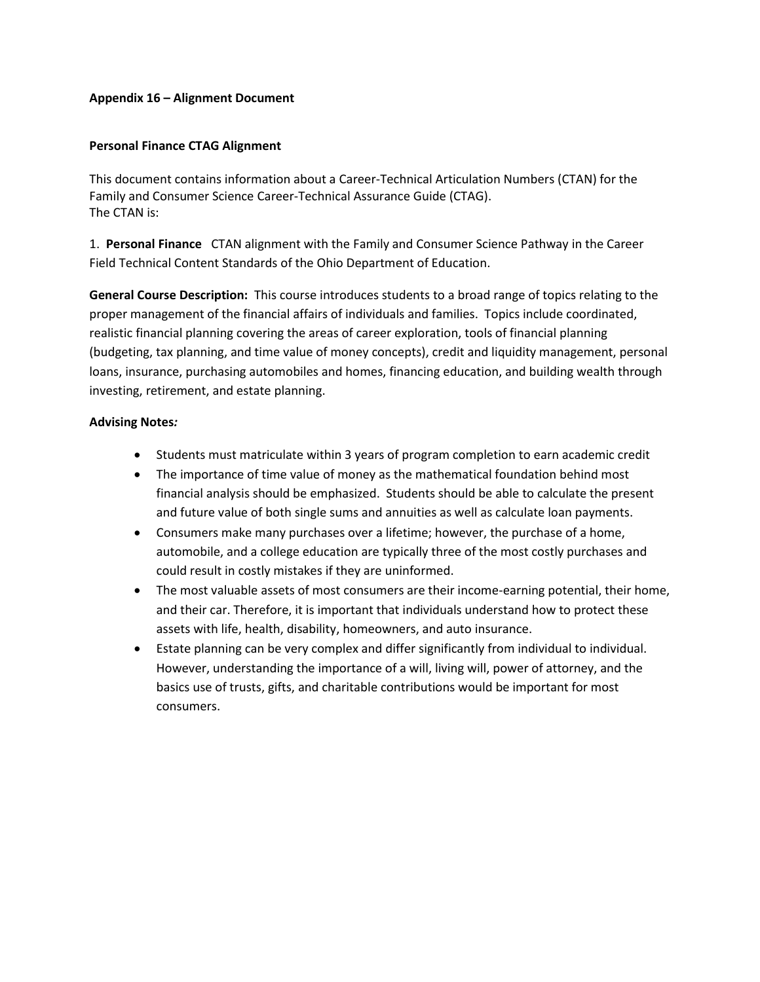### **Appendix 16 – Alignment Document**

### **Personal Finance CTAG Alignment**

This document contains information about a Career-Technical Articulation Numbers (CTAN) for the Family and Consumer Science Career-Technical Assurance Guide (CTAG). The CTAN is:

1. **Personal Finance** CTAN alignment with the Family and Consumer Science Pathway in the Career Field Technical Content Standards of the Ohio Department of Education.

**General Course Description:**This course introduces students to a broad range of topics relating to the proper management of the financial affairs of individuals and families. Topics include coordinated, realistic financial planning covering the areas of career exploration, tools of financial planning (budgeting, tax planning, and time value of money concepts), credit and liquidity management, personal loans, insurance, purchasing automobiles and homes, financing education, and building wealth through investing, retirement, and estate planning.

#### **Advising Notes***:*

- Students must matriculate within 3 years of program completion to earn academic credit
- The importance of time value of money as the mathematical foundation behind most financial analysis should be emphasized. Students should be able to calculate the present and future value of both single sums and annuities as well as calculate loan payments.
- Consumers make many purchases over a lifetime; however, the purchase of a home, automobile, and a college education are typically three of the most costly purchases and could result in costly mistakes if they are uninformed.
- The most valuable assets of most consumers are their income-earning potential, their home, and their car. Therefore, it is important that individuals understand how to protect these assets with life, health, disability, homeowners, and auto insurance.
- Estate planning can be very complex and differ significantly from individual to individual. However, understanding the importance of a will, living will, power of attorney, and the basics use of trusts, gifts, and charitable contributions would be important for most consumers.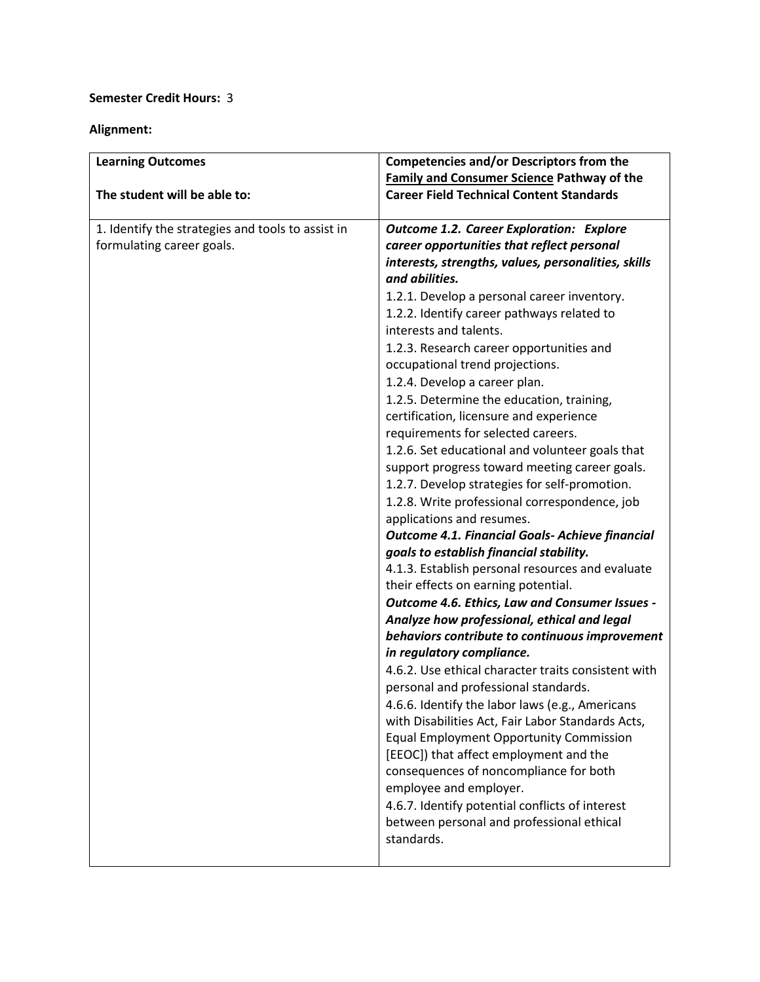# **Semester Credit Hours:** 3

## **Alignment:**

| <b>Learning Outcomes</b>                          | <b>Competencies and/or Descriptors from the</b>        |
|---------------------------------------------------|--------------------------------------------------------|
|                                                   | <b>Family and Consumer Science Pathway of the</b>      |
| The student will be able to:                      | <b>Career Field Technical Content Standards</b>        |
|                                                   |                                                        |
| 1. Identify the strategies and tools to assist in | <b>Outcome 1.2. Career Exploration: Explore</b>        |
| formulating career goals.                         | career opportunities that reflect personal             |
|                                                   | interests, strengths, values, personalities, skills    |
|                                                   | and abilities.                                         |
|                                                   | 1.2.1. Develop a personal career inventory.            |
|                                                   | 1.2.2. Identify career pathways related to             |
|                                                   | interests and talents.                                 |
|                                                   | 1.2.3. Research career opportunities and               |
|                                                   | occupational trend projections.                        |
|                                                   | 1.2.4. Develop a career plan.                          |
|                                                   | 1.2.5. Determine the education, training,              |
|                                                   | certification, licensure and experience                |
|                                                   | requirements for selected careers.                     |
|                                                   | 1.2.6. Set educational and volunteer goals that        |
|                                                   | support progress toward meeting career goals.          |
|                                                   | 1.2.7. Develop strategies for self-promotion.          |
|                                                   | 1.2.8. Write professional correspondence, job          |
|                                                   | applications and resumes.                              |
|                                                   | <b>Outcome 4.1. Financial Goals- Achieve financial</b> |
|                                                   | goals to establish financial stability.                |
|                                                   | 4.1.3. Establish personal resources and evaluate       |
|                                                   | their effects on earning potential.                    |
|                                                   | Outcome 4.6. Ethics, Law and Consumer Issues -         |
|                                                   | Analyze how professional, ethical and legal            |
|                                                   | behaviors contribute to continuous improvement         |
|                                                   | in regulatory compliance.                              |
|                                                   | 4.6.2. Use ethical character traits consistent with    |
|                                                   | personal and professional standards.                   |
|                                                   | 4.6.6. Identify the labor laws (e.g., Americans        |
|                                                   | with Disabilities Act, Fair Labor Standards Acts,      |
|                                                   | <b>Equal Employment Opportunity Commission</b>         |
|                                                   | [EEOC]) that affect employment and the                 |
|                                                   | consequences of noncompliance for both                 |
|                                                   | employee and employer.                                 |
|                                                   | 4.6.7. Identify potential conflicts of interest        |
|                                                   | between personal and professional ethical              |
|                                                   | standards.                                             |
|                                                   |                                                        |
|                                                   |                                                        |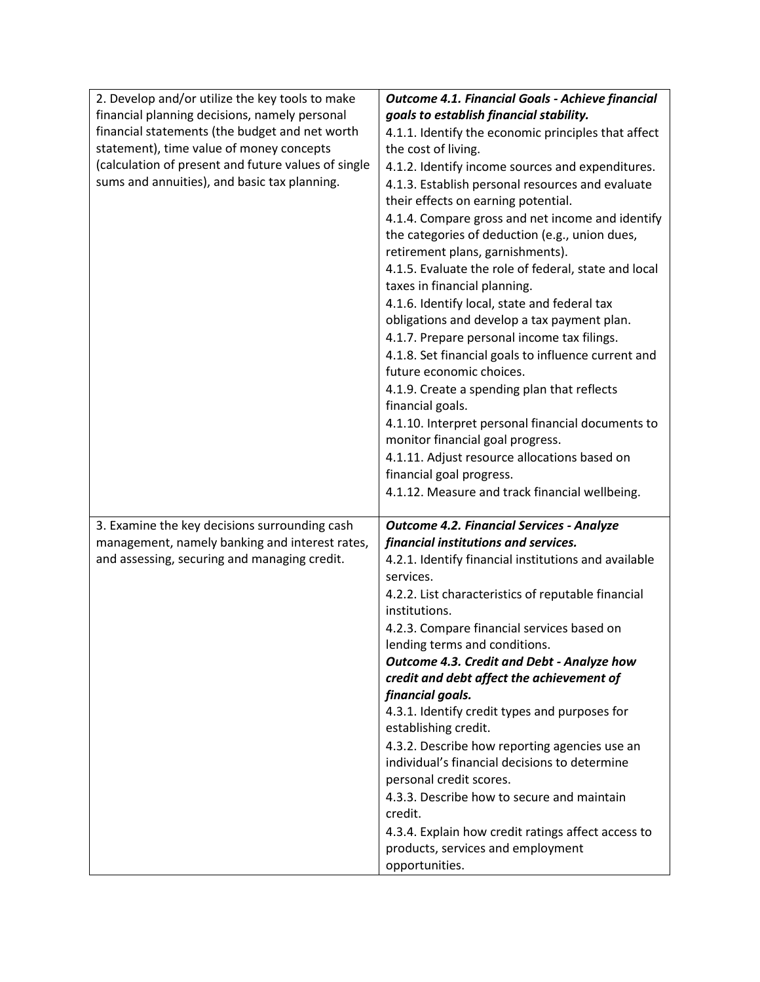| 2. Develop and/or utilize the key tools to make     | Outcome 4.1. Financial Goals - Achieve financial                                               |
|-----------------------------------------------------|------------------------------------------------------------------------------------------------|
| financial planning decisions, namely personal       | goals to establish financial stability.                                                        |
| financial statements (the budget and net worth      | 4.1.1. Identify the economic principles that affect                                            |
| statement), time value of money concepts            | the cost of living.                                                                            |
| (calculation of present and future values of single | 4.1.2. Identify income sources and expenditures.                                               |
| sums and annuities), and basic tax planning.        | 4.1.3. Establish personal resources and evaluate                                               |
|                                                     | their effects on earning potential.                                                            |
|                                                     | 4.1.4. Compare gross and net income and identify                                               |
|                                                     | the categories of deduction (e.g., union dues,                                                 |
|                                                     | retirement plans, garnishments).                                                               |
|                                                     | 4.1.5. Evaluate the role of federal, state and local                                           |
|                                                     | taxes in financial planning.                                                                   |
|                                                     | 4.1.6. Identify local, state and federal tax                                                   |
|                                                     | obligations and develop a tax payment plan.                                                    |
|                                                     | 4.1.7. Prepare personal income tax filings.                                                    |
|                                                     | 4.1.8. Set financial goals to influence current and<br>future economic choices.                |
|                                                     |                                                                                                |
|                                                     | 4.1.9. Create a spending plan that reflects<br>financial goals.                                |
|                                                     | 4.1.10. Interpret personal financial documents to                                              |
|                                                     | monitor financial goal progress.                                                               |
|                                                     | 4.1.11. Adjust resource allocations based on                                                   |
|                                                     | financial goal progress.                                                                       |
|                                                     | 4.1.12. Measure and track financial wellbeing.                                                 |
|                                                     |                                                                                                |
| 3. Examine the key decisions surrounding cash       | <b>Outcome 4.2. Financial Services - Analyze</b>                                               |
| management, namely banking and interest rates,      | financial institutions and services.                                                           |
| and assessing, securing and managing credit.        | 4.2.1. Identify financial institutions and available<br>services.                              |
|                                                     | 4.2.2. List characteristics of reputable financial                                             |
|                                                     | institutions.                                                                                  |
|                                                     | 4.2.3. Compare financial services based on                                                     |
|                                                     | lending terms and conditions.                                                                  |
|                                                     | <b>Outcome 4.3. Credit and Debt - Analyze how</b>                                              |
|                                                     | credit and debt affect the achievement of                                                      |
|                                                     | financial goals.                                                                               |
|                                                     | 4.3.1. Identify credit types and purposes for                                                  |
|                                                     | establishing credit.                                                                           |
|                                                     | 4.3.2. Describe how reporting agencies use an<br>individual's financial decisions to determine |
|                                                     | personal credit scores.                                                                        |
|                                                     | 4.3.3. Describe how to secure and maintain                                                     |
|                                                     | credit.                                                                                        |
|                                                     | 4.3.4. Explain how credit ratings affect access to                                             |
|                                                     | products, services and employment                                                              |
|                                                     | opportunities.                                                                                 |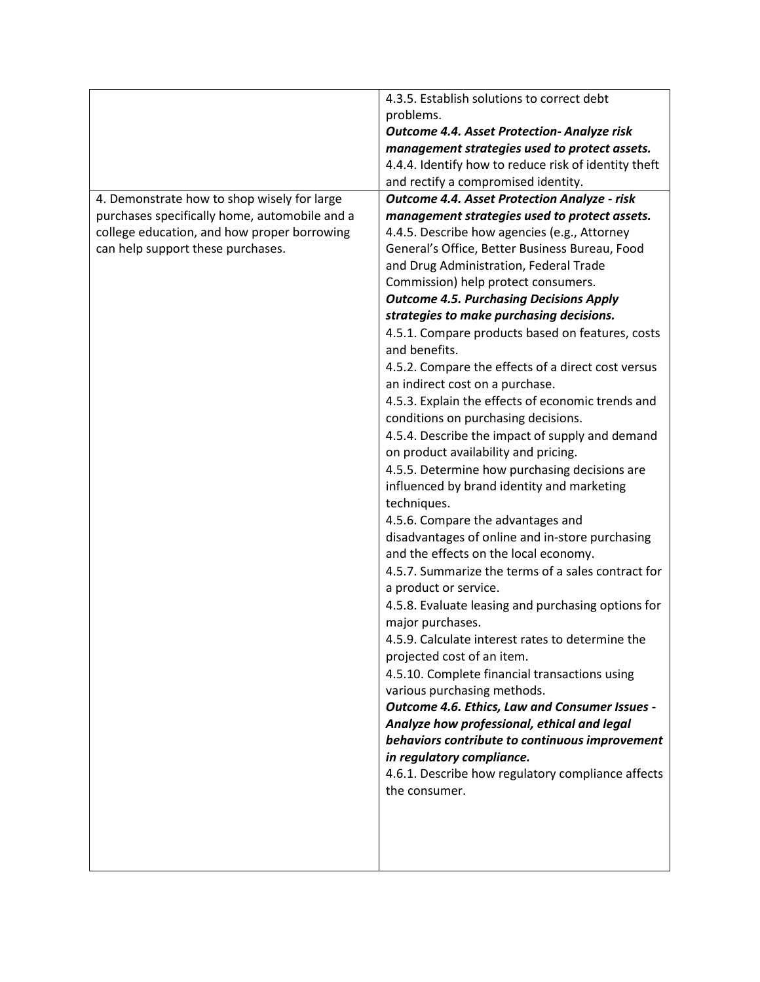|                                               | 4.3.5. Establish solutions to correct debt                                  |
|-----------------------------------------------|-----------------------------------------------------------------------------|
|                                               | problems.                                                                   |
|                                               | <b>Outcome 4.4. Asset Protection- Analyze risk</b>                          |
|                                               | management strategies used to protect assets.                               |
|                                               | 4.4.4. Identify how to reduce risk of identity theft                        |
|                                               | and rectify a compromised identity.                                         |
| 4. Demonstrate how to shop wisely for large   | <b>Outcome 4.4. Asset Protection Analyze - risk</b>                         |
| purchases specifically home, automobile and a | management strategies used to protect assets.                               |
| college education, and how proper borrowing   | 4.4.5. Describe how agencies (e.g., Attorney                                |
| can help support these purchases.             | General's Office, Better Business Bureau, Food                              |
|                                               | and Drug Administration, Federal Trade                                      |
|                                               | Commission) help protect consumers.                                         |
|                                               | <b>Outcome 4.5. Purchasing Decisions Apply</b>                              |
|                                               | strategies to make purchasing decisions.                                    |
|                                               | 4.5.1. Compare products based on features, costs<br>and benefits.           |
|                                               | 4.5.2. Compare the effects of a direct cost versus                          |
|                                               | an indirect cost on a purchase.                                             |
|                                               | 4.5.3. Explain the effects of economic trends and                           |
|                                               | conditions on purchasing decisions.                                         |
|                                               | 4.5.4. Describe the impact of supply and demand                             |
|                                               | on product availability and pricing.                                        |
|                                               | 4.5.5. Determine how purchasing decisions are                               |
|                                               | influenced by brand identity and marketing                                  |
|                                               | techniques.                                                                 |
|                                               | 4.5.6. Compare the advantages and                                           |
|                                               | disadvantages of online and in-store purchasing                             |
|                                               | and the effects on the local economy.                                       |
|                                               | 4.5.7. Summarize the terms of a sales contract for<br>a product or service. |
|                                               | 4.5.8. Evaluate leasing and purchasing options for                          |
|                                               | major purchases.                                                            |
|                                               | 4.5.9. Calculate interest rates to determine the                            |
|                                               | projected cost of an item.                                                  |
|                                               | 4.5.10. Complete financial transactions using                               |
|                                               | various purchasing methods.                                                 |
|                                               | Outcome 4.6. Ethics, Law and Consumer Issues -                              |
|                                               | Analyze how professional, ethical and legal                                 |
|                                               | behaviors contribute to continuous improvement                              |
|                                               | in regulatory compliance.                                                   |
|                                               | 4.6.1. Describe how regulatory compliance affects                           |
|                                               | the consumer.                                                               |
|                                               |                                                                             |
|                                               |                                                                             |
|                                               |                                                                             |
|                                               |                                                                             |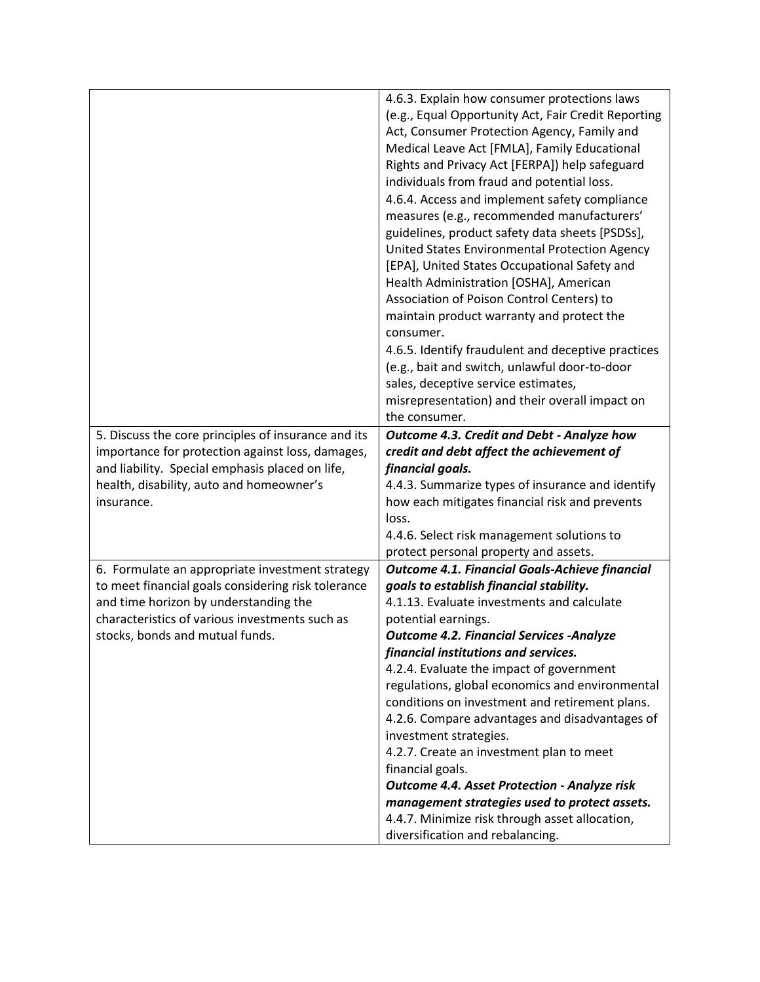|                                                     | 4.6.3. Explain how consumer protections laws           |
|-----------------------------------------------------|--------------------------------------------------------|
|                                                     | (e.g., Equal Opportunity Act, Fair Credit Reporting    |
|                                                     | Act, Consumer Protection Agency, Family and            |
|                                                     | Medical Leave Act [FMLA], Family Educational           |
|                                                     | Rights and Privacy Act [FERPA]) help safeguard         |
|                                                     | individuals from fraud and potential loss.             |
|                                                     | 4.6.4. Access and implement safety compliance          |
|                                                     | measures (e.g., recommended manufacturers'             |
|                                                     | guidelines, product safety data sheets [PSDSs],        |
|                                                     | United States Environmental Protection Agency          |
|                                                     | [EPA], United States Occupational Safety and           |
|                                                     | Health Administration [OSHA], American                 |
|                                                     | Association of Poison Control Centers) to              |
|                                                     |                                                        |
|                                                     | maintain product warranty and protect the<br>consumer. |
|                                                     |                                                        |
|                                                     | 4.6.5. Identify fraudulent and deceptive practices     |
|                                                     | (e.g., bait and switch, unlawful door-to-door          |
|                                                     | sales, deceptive service estimates,                    |
|                                                     | misrepresentation) and their overall impact on         |
|                                                     | the consumer.                                          |
| 5. Discuss the core principles of insurance and its | Outcome 4.3. Credit and Debt - Analyze how             |
| importance for protection against loss, damages,    | credit and debt affect the achievement of              |
| and liability. Special emphasis placed on life,     | financial goals.                                       |
| health, disability, auto and homeowner's            | 4.4.3. Summarize types of insurance and identify       |
| insurance.                                          | how each mitigates financial risk and prevents         |
|                                                     | loss.                                                  |
|                                                     | 4.4.6. Select risk management solutions to             |
|                                                     | protect personal property and assets.                  |
| 6. Formulate an appropriate investment strategy     | <b>Outcome 4.1. Financial Goals-Achieve financial</b>  |
| to meet financial goals considering risk tolerance  | goals to establish financial stability.                |
| and time horizon by understanding the               | 4.1.13. Evaluate investments and calculate             |
| characteristics of various investments such as      | potential earnings.                                    |
| stocks, bonds and mutual funds.                     | <b>Outcome 4.2. Financial Services -Analyze</b>        |
|                                                     | financial institutions and services.                   |
|                                                     | 4.2.4. Evaluate the impact of government               |
|                                                     | regulations, global economics and environmental        |
|                                                     | conditions on investment and retirement plans.         |
|                                                     | 4.2.6. Compare advantages and disadvantages of         |
|                                                     | investment strategies.                                 |
|                                                     | 4.2.7. Create an investment plan to meet               |
|                                                     | financial goals.                                       |
|                                                     | <b>Outcome 4.4. Asset Protection - Analyze risk</b>    |
|                                                     | management strategies used to protect assets.          |
|                                                     | 4.4.7. Minimize risk through asset allocation,         |
|                                                     | diversification and rebalancing.                       |